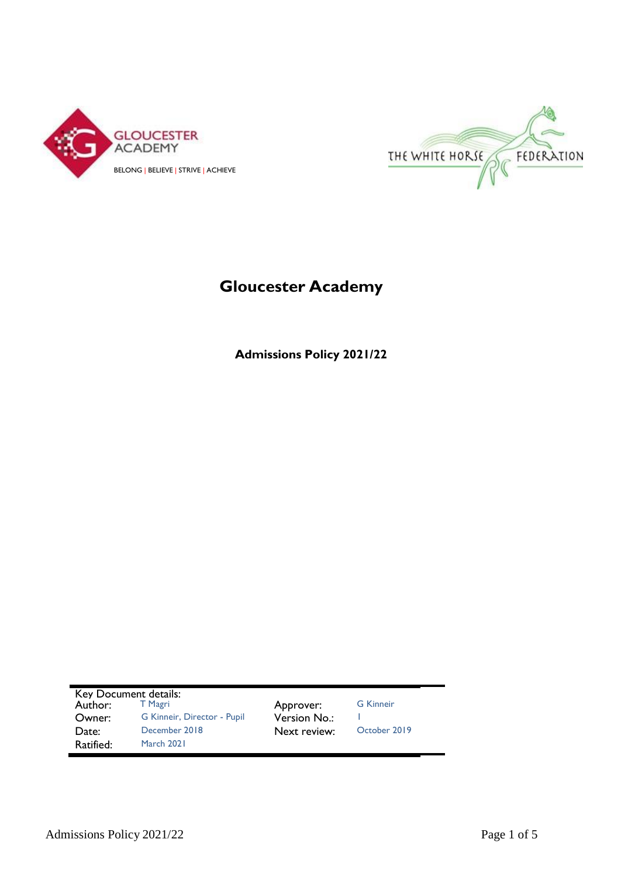



# **Gloucester Academy**

**Admissions Policy 2021/22**

| Key Document details: |                             |              |                  |
|-----------------------|-----------------------------|--------------|------------------|
| Author:               | T Magri                     | Approver:    | <b>G</b> Kinneir |
| Owner:                | G Kinneir, Director - Pupil | Version No.: |                  |
| Date:                 | December 2018               | Next review: | October 2019     |
| Ratified:             | March 2021                  |              |                  |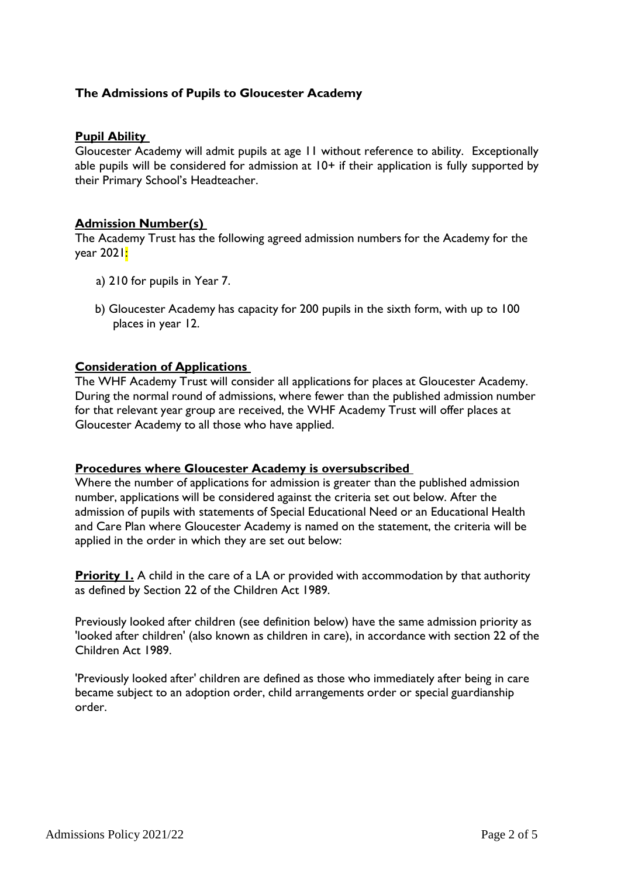# **The Admissions of Pupils to Gloucester Academy**

#### **Pupil Ability**

Gloucester Academy will admit pupils at age 11 without reference to ability. Exceptionally able pupils will be considered for admission at 10+ if their application is fully supported by their Primary School's Headteacher.

### **Admission Number(s)**

The Academy Trust has the following agreed admission numbers for the Academy for the year 2021<mark>:</mark>

- a) 210 for pupils in Year 7.
- b) Gloucester Academy has capacity for 200 pupils in the sixth form, with up to 100 places in year 12.

#### **Consideration of Applications**

The WHF Academy Trust will consider all applications for places at Gloucester Academy. During the normal round of admissions, where fewer than the published admission number for that relevant year group are received, the WHF Academy Trust will offer places at Gloucester Academy to all those who have applied.

#### **Procedures where Gloucester Academy is oversubscribed**

Where the number of applications for admission is greater than the published admission number, applications will be considered against the criteria set out below. After the admission of pupils with statements of Special Educational Need or an Educational Health and Care Plan where Gloucester Academy is named on the statement, the criteria will be applied in the order in which they are set out below:

**Priority 1.** A child in the care of a LA or provided with accommodation by that authority as defined by Section 22 of the Children Act 1989.

Previously looked after children (see definition below) have the same admission priority as 'looked after children' (also known as children in care), in accordance with section 22 of the Children Act 1989.

'Previously looked after' children are defined as those who immediately after being in care became subject to an adoption order, child arrangements order or special guardianship order.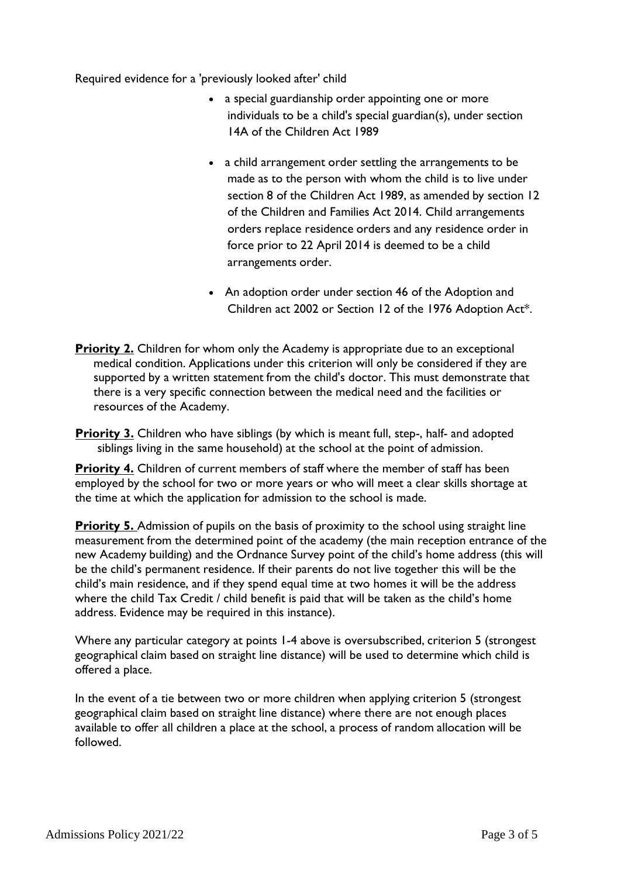Required evidence for a 'previously looked after' child

- a special guardianship order appointing one or more individuals to be a child's special guardian(s), under section 14A of the Children Act 1989
- a child arrangement order settling the arrangements to be made as to the person with whom the child is to live under section 8 of the Children Act 1989, as amended by section 12 of the Children and Families Act 2014. Child arrangements orders replace residence orders and any residence order in force prior to 22 April 2014 is deemed to be a child arrangements order.
- An adoption order under section 46 of the Adoption and Children act 2002 or Section 12 of the 1976 Adoption Act\*.
- **Priority 2.** Children for whom only the Academy is appropriate due to an exceptional medical condition. Applications under this criterion will only be considered if they are supported by a written statement from the child's doctor. This must demonstrate that there is a very specific connection between the medical need and the facilities or resources of the Academy.

**Priority 3.** Children who have siblings (by which is meant full, step-, half- and adopted siblings living in the same household) at the school at the point of admission.

**Priority 4.** Children of current members of staff where the member of staff has been employed by the school for two or more years or who will meet a clear skills shortage at the time at which the application for admission to the school is made.

**Priority 5.** Admission of pupils on the basis of proximity to the school using straight line measurement from the determined point of the academy (the main reception entrance of the new Academy building) and the Ordnance Survey point of the child's home address (this will be the child's permanent residence. If their parents do not live together this will be the child's main residence, and if they spend equal time at two homes it will be the address where the child Tax Credit / child benefit is paid that will be taken as the child's home address. Evidence may be required in this instance).

Where any particular category at points 1-4 above is oversubscribed, criterion 5 (strongest geographical claim based on straight line distance) will be used to determine which child is offered a place.

In the event of a tie between two or more children when applying criterion 5 (strongest geographical claim based on straight line distance) where there are not enough places available to offer all children a place at the school, a process of random allocation will be followed.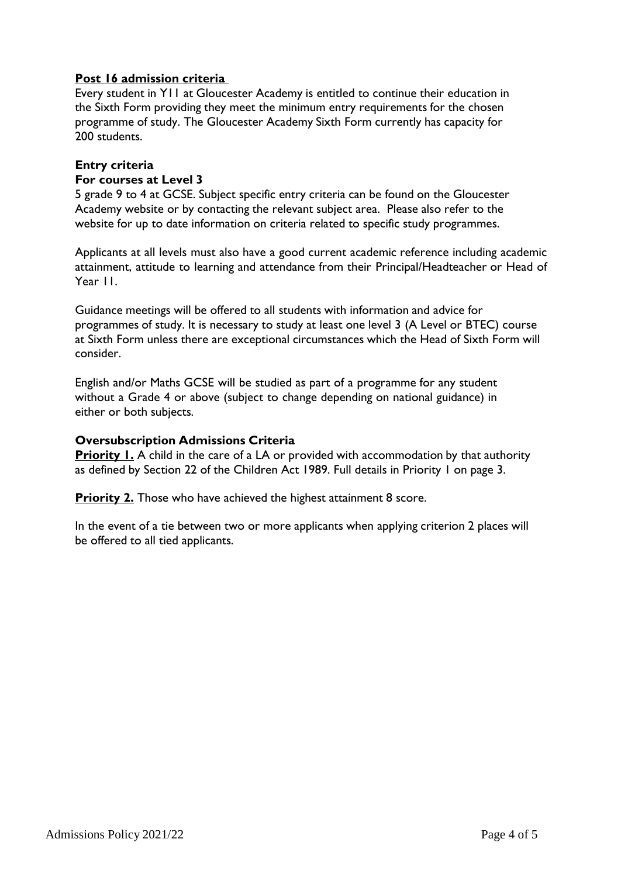# **Post 16 admission criteria**

Every student in Y11 at Gloucester Academy is entitled to continue their education in the Sixth Form providing they meet the minimum entry requirements for the chosen programme of study. The Gloucester Academy Sixth Form currently has capacity for 200 students.

# **Entry criteria**

#### **For courses at Level 3**

5 grade 9 to 4 at GCSE. Subject specific entry criteria can be found on the Gloucester Academy website or by contacting the relevant subject area. Please also refer to the website for up to date information on criteria related to specific study programmes.

Applicants at all levels must also have a good current academic reference including academic attainment, attitude to learning and attendance from their Principal/Headteacher or Head of Year 11.

Guidance meetings will be offered to all students with information and advice for programmes of study. It is necessary to study at least one level 3 (A Level or BTEC) course at Sixth Form unless there are exceptional circumstances which the Head of Sixth Form will consider.

English and/or Maths GCSE will be studied as part of a programme for any student without a Grade 4 or above (subject to change depending on national guidance) in either or both subjects.

### **Oversubscription Admissions Criteria**

**Priority 1.** A child in the care of a LA or provided with accommodation by that authority as defined by Section 22 of the Children Act 1989. Full details in Priority 1 on page 3.

**Priority 2.** Those who have achieved the highest attainment 8 score.

In the event of a tie between two or more applicants when applying criterion 2 places will be offered to all tied applicants.